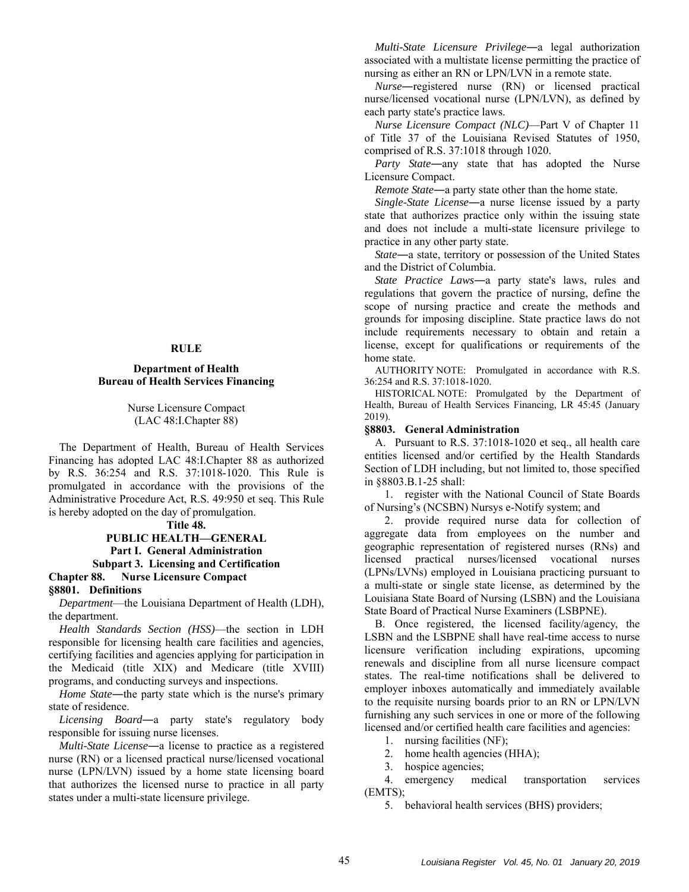#### **RULE**

### **Department of Health Bureau of Health Services Financing**

Nurse Licensure Compact (LAC 48:I.Chapter 88)

The Department of Health, Bureau of Health Services Financing has adopted LAC 48:I.Chapter 88 as authorized by R.S. 36:254 and R.S. 37:1018-1020. This Rule is promulgated in accordance with the provisions of the Administrative Procedure Act, R.S. 49:950 et seq. This Rule is hereby adopted on the day of promulgation.

**Title 48.** 

# **PUBLIC HEALTH—GENERAL Part I. General Administration Subpart 3. Licensing and Certification Chapter 88. Nurse Licensure Compact**

**§8801. Definitions** 

*Department*—the Louisiana Department of Health (LDH), the department.

*Health Standards Section (HSS)*—the section in LDH responsible for licensing health care facilities and agencies, certifying facilities and agencies applying for participation in the Medicaid (title XIX) and Medicare (title XVIII) programs, and conducting surveys and inspections.

*Home State*―the party state which is the nurse's primary state of residence.

*Licensing Board*―a party state's regulatory body responsible for issuing nurse licenses.

*Multi-State License*―a license to practice as a registered nurse (RN) or a licensed practical nurse/licensed vocational nurse (LPN/LVN) issued by a home state licensing board that authorizes the licensed nurse to practice in all party states under a multi-state licensure privilege.

*Multi-State Licensure Privilege*―a legal authorization associated with a multistate license permitting the practice of nursing as either an RN or LPN/LVN in a remote state.

*Nurse*―registered nurse (RN) or licensed practical nurse/licensed vocational nurse (LPN/LVN), as defined by each party state's practice laws.

*Nurse Licensure Compact (NLC)*—Part V of Chapter 11 of Title 37 of the Louisiana Revised Statutes of 1950, comprised of R.S. 37:1018 through 1020.

*Party State*―any state that has adopted the Nurse Licensure Compact.

*Remote State*―a party state other than the home state.

*Single-State License*―a nurse license issued by a party state that authorizes practice only within the issuing state and does not include a multi-state licensure privilege to practice in any other party state.

*State*―a state, territory or possession of the United States and the District of Columbia.

*State Practice Laws*―a party state's laws, rules and regulations that govern the practice of nursing, define the scope of nursing practice and create the methods and grounds for imposing discipline. State practice laws do not include requirements necessary to obtain and retain a license, except for qualifications or requirements of the home state.

AUTHORITY NOTE: Promulgated in accordance with R.S. 36:254 and R.S. 37:1018-1020.

HISTORICAL NOTE: Promulgated by the Department of Health, Bureau of Health Services Financing, LR 45:45 (January 2019).

### **§8803. General Administration**

A. Pursuant to R.S. 37:1018-1020 et seq., all health care entities licensed and/or certified by the Health Standards Section of LDH including, but not limited to, those specified in §8803.B.1-25 shall:

1. register with the National Council of State Boards of Nursing's (NCSBN) Nursys e-Notify system; and

2. provide required nurse data for collection of aggregate data from employees on the number and geographic representation of registered nurses (RNs) and licensed practical nurses/licensed vocational nurses (LPNs/LVNs) employed in Louisiana practicing pursuant to a multi-state or single state license, as determined by the Louisiana State Board of Nursing (LSBN) and the Louisiana State Board of Practical Nurse Examiners (LSBPNE).

B. Once registered, the licensed facility/agency, the LSBN and the LSBPNE shall have real-time access to nurse licensure verification including expirations, upcoming renewals and discipline from all nurse licensure compact states. The real-time notifications shall be delivered to employer inboxes automatically and immediately available to the requisite nursing boards prior to an RN or LPN/LVN furnishing any such services in one or more of the following licensed and/or certified health care facilities and agencies:

1. nursing facilities (NF);

2. home health agencies (HHA);

3. hospice agencies;

4. emergency medical transportation services (EMTS);

5. behavioral health services (BHS) providers;